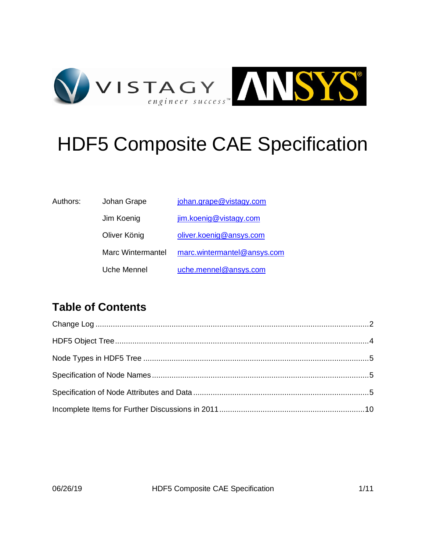

# HDF5 Composite CAE Specification

| Authors: | Johan Grape       | johan.grape@vistagy.com     |
|----------|-------------------|-----------------------------|
|          | Jim Koenig        | jim.koenig@vistagy.com      |
|          | Oliver König      | oliver.koenig@ansys.com     |
|          | Marc Wintermantel | marc.wintermantel@ansys.com |
|          | Uche Mennel       | uche.mennel@ansys.com       |
|          |                   |                             |

# **Table of Contents**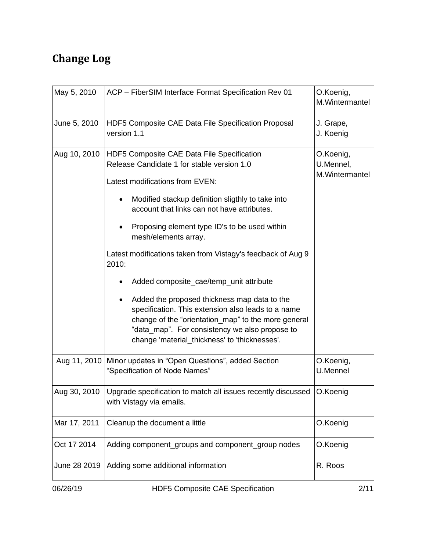# **Change Log**

| May 5, 2010  | ACP - FiberSIM Interface Format Specification Rev 01                                                                                                                                                                                                                                                                                                                                                                                                                                                                                                                                                                                                                                                     | O.Koenig,<br>M.Wintermantel              |
|--------------|----------------------------------------------------------------------------------------------------------------------------------------------------------------------------------------------------------------------------------------------------------------------------------------------------------------------------------------------------------------------------------------------------------------------------------------------------------------------------------------------------------------------------------------------------------------------------------------------------------------------------------------------------------------------------------------------------------|------------------------------------------|
| June 5, 2010 | HDF5 Composite CAE Data File Specification Proposal<br>version 1.1                                                                                                                                                                                                                                                                                                                                                                                                                                                                                                                                                                                                                                       | J. Grape,<br>J. Koenig                   |
| Aug 10, 2010 | HDF5 Composite CAE Data File Specification<br>Release Candidate 1 for stable version 1.0<br>Latest modifications from EVEN:<br>Modified stackup definition sligthly to take into<br>$\bullet$<br>account that links can not have attributes.<br>Proposing element type ID's to be used within<br>mesh/elements array.<br>Latest modifications taken from Vistagy's feedback of Aug 9<br>2010:<br>Added composite_cae/temp_unit attribute<br>Added the proposed thickness map data to the<br>specification. This extension also leads to a name<br>change of the "orientation map" to the more general<br>"data map". For consistency we also propose to<br>change 'material_thickness' to 'thicknesses'. | O.Koenig,<br>U.Mennel,<br>M.Wintermantel |
| Aug 11, 2010 | Minor updates in "Open Questions", added Section<br>"Specification of Node Names"                                                                                                                                                                                                                                                                                                                                                                                                                                                                                                                                                                                                                        | O.Koenig,<br>U.Mennel                    |
| Aug 30, 2010 | Upgrade specification to match all issues recently discussed<br>with Vistagy via emails.                                                                                                                                                                                                                                                                                                                                                                                                                                                                                                                                                                                                                 | O.Koenig                                 |
| Mar 17, 2011 | Cleanup the document a little                                                                                                                                                                                                                                                                                                                                                                                                                                                                                                                                                                                                                                                                            | O.Koenig                                 |
| Oct 17 2014  | Adding component_groups and component_group nodes                                                                                                                                                                                                                                                                                                                                                                                                                                                                                                                                                                                                                                                        | O.Koenig                                 |
| June 28 2019 | Adding some additional information                                                                                                                                                                                                                                                                                                                                                                                                                                                                                                                                                                                                                                                                       | R. Roos                                  |
|              |                                                                                                                                                                                                                                                                                                                                                                                                                                                                                                                                                                                                                                                                                                          |                                          |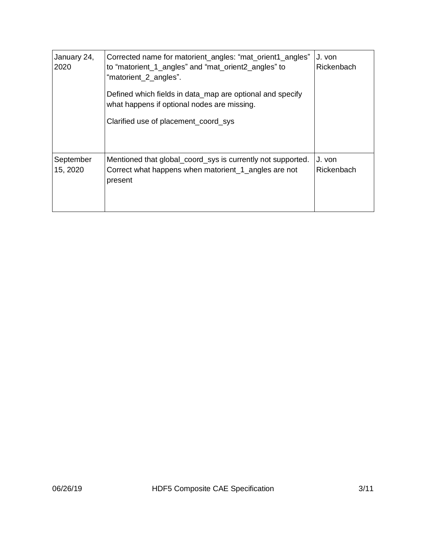| January 24,<br>2020   | Corrected name for matorient_angles: "mat_orient1_angles"<br>to "matorient_1_angles" and "mat_orient2_angles" to<br>"matorient_2_angles".<br>Defined which fields in data_map are optional and specify<br>what happens if optional nodes are missing.<br>Clarified use of placement_coord_sys | J. von<br>Rickenbach |
|-----------------------|-----------------------------------------------------------------------------------------------------------------------------------------------------------------------------------------------------------------------------------------------------------------------------------------------|----------------------|
| September<br>15, 2020 | Mentioned that global_coord_sys is currently not supported.<br>Correct what happens when matorient_1_angles are not<br>present                                                                                                                                                                | J. von<br>Rickenbach |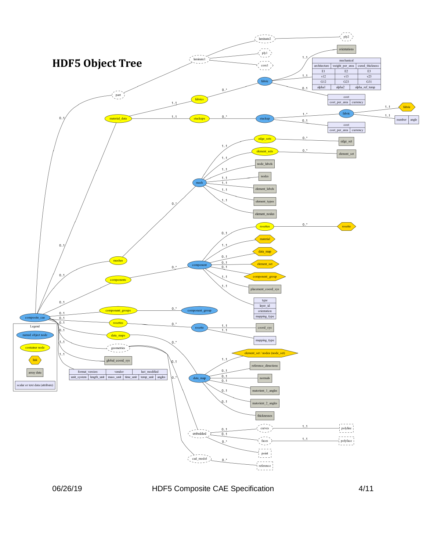

06/26/19 HDF5 Composite CAE Specification 4/11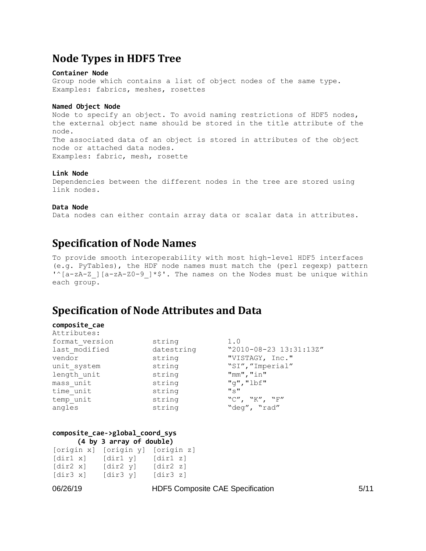# **Node Types in HDF5 Tree**

### **Container Node**

Group node which contains a list of object nodes of the same type. Examples: fabrics, meshes, rosettes

### **Named Object Node**

Node to specify an object. To avoid naming restrictions of HDF5 nodes, the external object name should be stored in the title attribute of the node. The associated data of an object is stored in attributes of the object node or attached data nodes. Examples: fabric, mesh, rosette

### **Link Node**

Dependencies between the different nodes in the tree are stored using link nodes.

### **Data Node**

Data nodes can either contain array data or scalar data in attributes.

### **Specification of Node Names**

To provide smooth interoperability with most high-level HDF5 interfaces (e.g. PyTables), the HDF node names must match the (perl regexp) pattern  $'\$ [a-zA-Z][a-zA-Z0-9]\*\$'. The names on the Nodes must be unique within each group.

# **Specification of Node Attributes and Data**

#### **composite\_cae**  $\lambda$ ++ $\gamma$ i  $\lambda$ <sub>11</sub>+ $\alpha$ e.

| ALLITUTES.     |            |                                            |
|----------------|------------|--------------------------------------------|
| format version | string     | 1.0                                        |
| last modified  | datestring | "2010-08-23 13:31:13Z"                     |
| vendor         | string     | "VISTAGY, Inc."                            |
| unit system    | string     | "SI", "Imperial"                           |
| length unit    | string     | "mm", "in"                                 |
| mass unit      | string     | "g", "lbf"                                 |
| time unit      | string     | $^{\prime\prime}$ $\sim$ $^{\prime\prime}$ |
| temp unit      | string     | "C", "K", "F"                              |
| angles         | string     | "deg", "rad"                               |
|                |            |                                            |

### **composite\_cae->global\_coord\_sys (4 by 3 array of double)**

| [origin x]                         | [origin y] | [origin z]                     |
|------------------------------------|------------|--------------------------------|
| [dir1 x]                           | [dir1 y]   | $\lceil \text{dir1 } z \rceil$ |
| $\lceil \text{dir2} \times \rceil$ | [dir2 y]   | $\lceil \text{dir2 } z \rceil$ |
| [dir3 x]                           | [dir3 y]   | [dir3 z]                       |

06/26/19 HDF5 Composite CAE Specification 5/11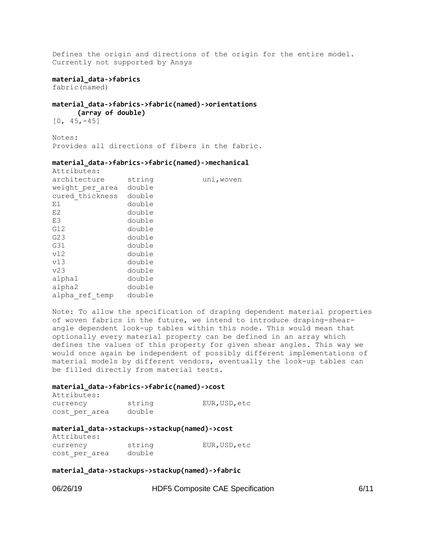Defines the origin and directions of the origin for the entire model. Currently not supported by Ansys

### **material\_data->fabrics**

fabric(named)

### **material\_data->fabrics->fabric(named)->orientations (array of double)**

[0, 45,-45]

Notes: Provides all directions of fibers in the fabric.

### **material\_data->fabrics->fabric(named)->mechanical**

| Attributes:     |        |            |
|-----------------|--------|------------|
| architecture    | string | uni, woven |
| weight per area | double |            |
| cured thickness | double |            |
| E1              | double |            |
| E2              | double |            |
| E3              | double |            |
| G12             | double |            |
| G <sub>23</sub> | double |            |
| G31             | double |            |
| v12             | double |            |
| v13             | double |            |
| v23             | double |            |
| alpha1          | double |            |
| alpha2          | double |            |
| alpha ref temp  | double |            |

Note: To allow the specification of draping dependent material properties of woven fabrics in the future, we intend to introduce draping-shearangle dependent look-up tables within this node. This would mean that optionally every material property can be defined in an array which defines the values of this property for given shear angles. This way we would once again be independent of possibly different implementations of material models by different vendors, eventually the look-up tables can be filled directly from material tests.

### **material\_data->fabrics->fabric(named)->cost**

| Attributes:   |        |               |
|---------------|--------|---------------|
| currency      | string | EUR, USD, etc |
| cost per area | double |               |

#### **material\_data->stackups->stackup(named)->cost**  $A$ <sup>ttributes</sub>:</sup>

| 11001100000   |        |             |
|---------------|--------|-------------|
| currency      | string | EUR,USD,etc |
| cost per area | double |             |

### **material\_data->stackups->stackup(named)->fabric**

| 06/26/19 |  |
|----------|--|
|----------|--|

HDF5 Composite CAE Specification 6/11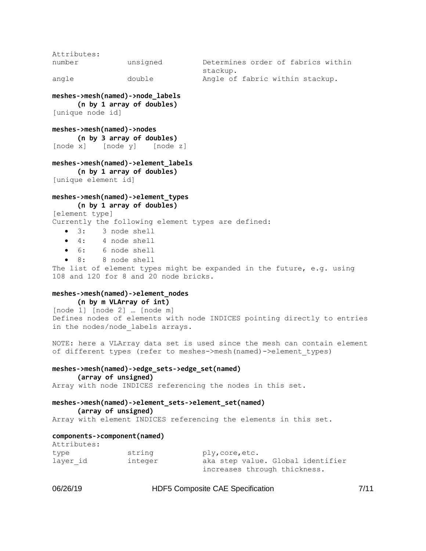Attributes: number unsigned Determines order of fabrics within stackup. angle double Angle of fabric within stackup.

**meshes->mesh(named)->node\_labels (n by 1 array of doubles)** [unique node id]

**meshes->mesh(named)->nodes (n by 3 array of doubles)** [node x] [node y] [node z]

### **meshes->mesh(named)->element\_labels**

**(n by 1 array of doubles)** [unique element id]

### **meshes->mesh(named)->element\_types (n by 1 array of doubles)**

[element type]

Currently the following element types are defined:

- 3: 3 node shell
- 4: 4 node shell
- 6: 6 node shell
- 8: 8 node shell

The list of element types might be expanded in the future, e.g. using 108 and 120 for 8 and 20 node bricks.

### **meshes->mesh(named)->element\_nodes (n by m VLArray of int)**

[node 1] [node 2] … [node m] Defines nodes of elements with node INDICES pointing directly to entries in the nodes/node labels arrays.

NOTE: here a VLArray data set is used since the mesh can contain element of different types (refer to meshes->mesh(named)->element\_types)

### **meshes->mesh(named)->edge\_sets->edge\_set(named)**

```
(array of unsigned)
```
Array with node INDICES referencing the nodes in this set.

### **meshes->mesh(named)->element\_sets->element\_set(named)**

**(array of unsigned)**

Array with element INDICES referencing the elements in this set.

### **components->component(named)**

| Attributes: |         |                                   |
|-------------|---------|-----------------------------------|
| type        | string  | ply, core, etc.                   |
| layer id    | integer | aka step value. Global identifier |
|             |         | increases through thickness.      |

06/26/19 **HDF5 Composite CAE Specification** 7/11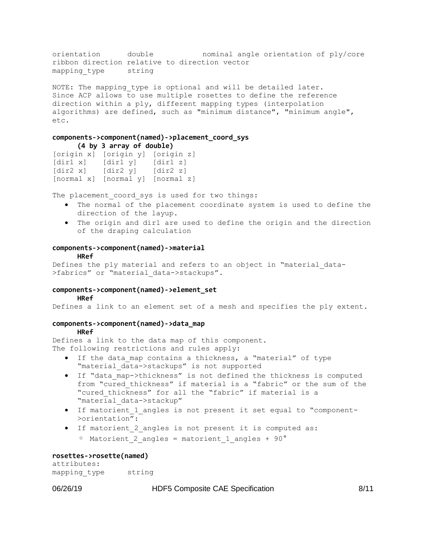orientation double nominal angle orientation of ply/core ribbon direction relative to direction vector mapping type string

NOTE: The mapping type is optional and will be detailed later. Since ACP allows to use multiple rosettes to define the reference direction within a ply, different mapping types (interpolation algorithms) are defined, such as "minimum distance", "minimum angle", etc.

### **components->component(named)->placement\_coord\_sys (4 by 3 array of double)**

[origin x] [origin y] [origin z] [dir1 x] [dir1 y] [dir1 z] [dir2 x] [dir2 y] [dir2 z] [normal x] [normal y] [normal z]

The placement coord sys is used for two things:

- The normal of the placement coordinate system is used to define the direction of the layup.
- The origin and dir1 are used to define the origin and the direction of the draping calculation

### **components->component(named)->material**

### **HRef**

Defines the ply material and refers to an object in "material data->fabrics" or "material data->stackups".

### **components->component(named)->element\_set**

#### **HRef**

Defines a link to an element set of a mesh and specifies the ply extent.

### **components->component(named)->data\_map**

### **HRef**

Defines a link to the data map of this component. The following restrictions and rules apply:

- If the data map contains a thickness, a "material" of type "material\_data->stackups" is not supported
- If "data\_map->thickness" is not defined the thickness is computed from "cured\_thickness" if material is a "fabric" or the sum of the "cured thickness" for all the "fabric" if material is a "material\_data->stackup"
- If matorient\_1\_angles is not present it set equal to "component- >orientation":
- If matorient\_2\_angles is not present it is computed as:

```
\degree Matorient 2 angles = matorient 1 angles + 90°
```
### **rosettes->rosette(named)**

attributes: mapping type string

### 06/26/19 **HDF5 Composite CAE Specification** 8/11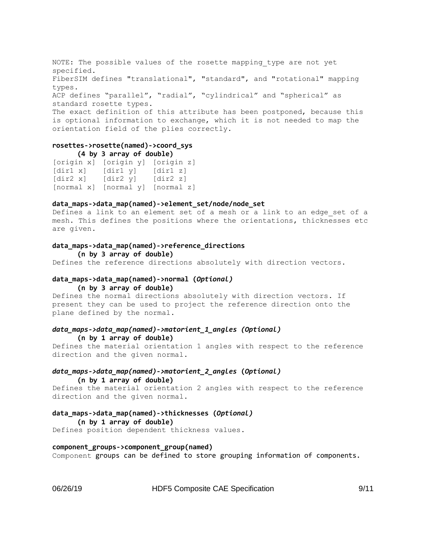NOTE: The possible values of the rosette mapping type are not yet specified. FiberSIM defines "translational", "standard", and "rotational" mapping types. ACP defines "parallel", "radial", "cylindrical" and "spherical" as standard rosette types. The exact definition of this attribute has been postponed, because this is optional information to exchange, which it is not needed to map the orientation field of the plies correctly.

### **rosettes->rosette(named)->coord\_sys (4 by 3 array of double)**

```
[origin x] [origin y] [origin z]
[dir1 x] [dir1 y] [dir1 z]
[dir2 x] [dir2 y] [dir2 z]
[normal x] [normal y] [normal z]
```
### **data\_maps->data\_map(named)->element\_set/node/node\_set**

Defines a link to an element set of a mesh or a link to an edge set of a mesh. This defines the positions where the orientations, thicknesses etc are given.

### **data\_maps->data\_map(named)->reference\_directions**

**(n by 3 array of double)** Defines the reference directions absolutely with direction vectors.

### **data\_maps->data\_map(named)->normal (***Optional)* **(n by 3 array of double)**

Defines the normal directions absolutely with direction vectors. If present they can be used to project the reference direction onto the plane defined by the normal.

### *data\_maps->data\_map(named)->matorient\_1\_angles (Optional)* **(n by 1 array of double)**

Defines the material orientation 1 angles with respect to the reference direction and the given normal.

### *data\_maps->data\_map(named)->matorient\_2\_angles* **(***Optional)*

### **(n by 1 array of double)**

Defines the material orientation 2 angles with respect to the reference direction and the given normal.

### **data\_maps->data\_map(named)->thicknesses (***Optional)*

**(n by 1 array of double)**

Defines position dependent thickness values.

### **component\_groups->component\_group(named)**

Component groups can be defined to store grouping information of components.

06/26/19 **HDF5 Composite CAE Specification** 9/11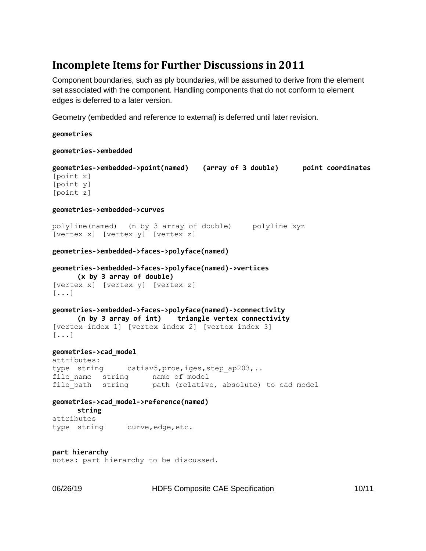# **Incomplete Items for Further Discussions in 2011**

Component boundaries, such as ply boundaries, will be assumed to derive from the element set associated with the component. Handling components that do not conform to element edges is deferred to a later version.

Geometry (embedded and reference to external) is deferred until later revision.

**geometries**

**geometries->embedded**

```
geometries->embedded->point(named) (array of 3 double) point coordinates
[point x]
[point y]
[point z]
```
### **geometries->embedded->curves**

polyline(named) (n by 3 array of double) polyline xyz [vertex x] [vertex y] [vertex z]

**geometries->embedded->faces->polyface(named)**

```
geometries->embedded->faces->polyface(named)->vertices
      (x by 3 array of double)
[vertex x] [vertex y] [vertex z]
[...]
```
### **geometries->embedded->faces->polyface(named)->connectivity (n by 3 array of int) triangle vertex connectivity** [vertex index 1] [vertex index 2] [vertex index 3] [...]

### **geometries->cad\_model**

attributes: type string catiav5, proe, iges, step ap203,.. file name string name of model file path string path (relative, absolute) to cad model

**geometries->cad\_model->reference(named) string** attributes type string curve,edge,etc.

**part hierarchy** notes: part hierarchy to be discussed.

06/26/19 HDF5 Composite CAE Specification 10/11